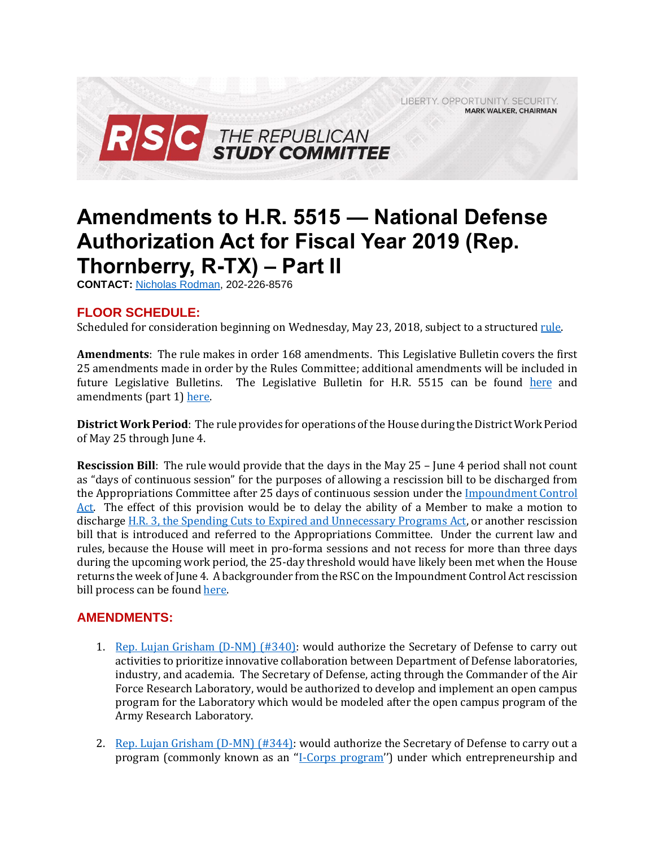LIBERTY. OPPORTUNITY. SECURITY. **MARK WALKER, CHAIRMAN** 



## **Amendments to H.R. 5515 — National Defense Authorization Act for Fiscal Year 2019 (Rep. Thornberry, R-TX) – Part II**

**CONTACT:** [Nicholas Rodman,](mailto:nicholas.rodman@mail.house.gov) 202-226-8576

## **FLOOR SCHEDULE:**

Scheduled for consideration beginning on Wednesday, May 23, 2018, subject to a structured rule.

**Amendments**: The rule makes in order 168 amendments. This Legislative Bulletin covers the first 25 amendments made in order by the Rules Committee; additional amendments will be included in future Legislative Bulletins. The Legislative Bulletin for H.R. 5515 can be found [here](https://gallery.mailchimp.com/d4254037a343b683d142111e0/files/6ac646b1-3f9d-4849-bfb6-99f44c1c0707/Legislative_Bulletin_H.R._5515_FY_2019_NDAA_May_22_2018.pdf) and amendments (part 1[\) here.](https://gallery.mailchimp.com/d4254037a343b683d142111e0/files/ba5fe8f5-a15b-431a-b438-1adac952ac8f/Legislative_Bulletin_H.R._5515_NDAA_Amendments_Part_1_May_22_2018.pdf)

**District Work Period**: The rule provides for operations of the House during the District Work Period of May 25 through June 4.

**Rescission Bill**: The rule would provide that the days in the May 25 – June 4 period shall not count as "days of continuous session" for the purposes of allowing a rescission bill to be discharged from the Appropriations Committee after 25 days of continuous session under the [Impoundment Control](http://budget.house.gov/uploadedfiles/a_compendium_of_laws_and_rules_of_the_congressional_budget_process.pdf#page=152)  [Act.](http://budget.house.gov/uploadedfiles/a_compendium_of_laws_and_rules_of_the_congressional_budget_process.pdf#page=152) The effect of this provision would be to delay the ability of a Member to make a motion to discharge [H.R. 3, the Spending Cuts to Expired and Unnecessary Programs Act,](https://www.congress.gov/bill/115th-congress/house-bill/3/all-actions) or another rescission bill that is introduced and referred to the Appropriations Committee. Under the current law and rules, because the House will meet in pro-forma sessions and not recess for more than three days during the upcoming work period, the 25-day threshold would have likely been met when the House returns the week of June 4. A backgrounder from the RSC on the Impoundment Control Act rescission bill process can be foun[d here.](https://gallery.mailchimp.com/d4254037a343b683d142111e0/files/0ed86cef-f922-4cfc-8794-fbab98452dc9/RSC_Backgrounder_Impoundment_Control_Act_Rescissions_4.9.2018.pdf)

## **AMENDMENTS:**

- 1. [Rep. Lujan Grisham \(D-NM\) \(#340\):](https://amendments-rules.house.gov/amendments/LUJANM_106_xml521181548504850.pdf) would authorize the Secretary of Defense to carry out activities to prioritize innovative collaboration between Department of Defense laboratories, industry, and academia. The Secretary of Defense, acting through the Commander of the Air Force Research Laboratory, would be authorized to develop and implement an open campus program for the Laboratory which would be modeled after the open campus program of the Army Research Laboratory.
- 2. [Rep. Lujan Grisham \(D-MN\) \(#344\):](https://amendments-rules.house.gov/amendments/LUJANM_105_xml521181555215521.pdf) would authorize the Secretary of Defense to carry out a program (commonly known as an ''[I-Corps program](http://basicresearch.defense.gov/News/Articles/News-Display/Article/1490285/i-corps-dod-funding-announcement/)'') under which entrepreneurship and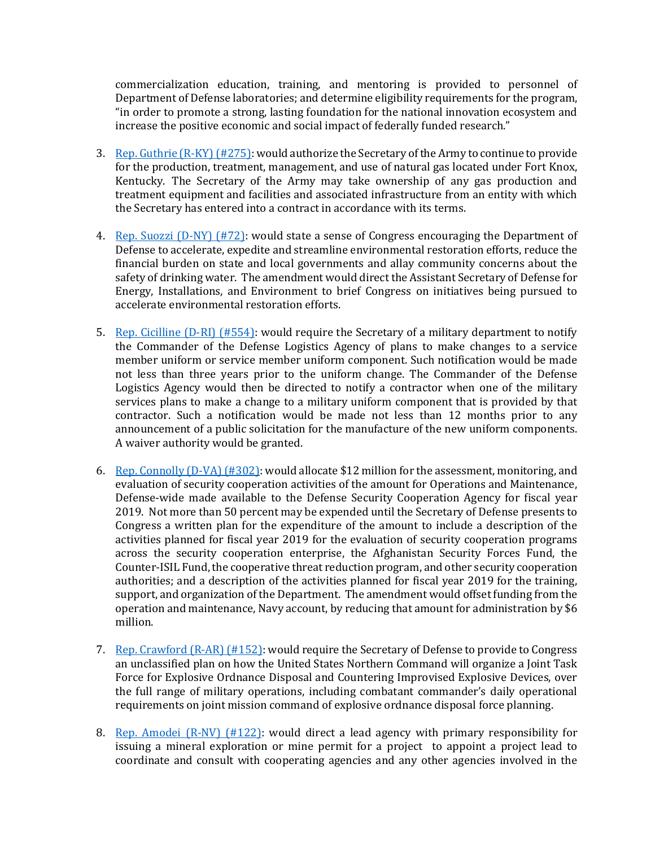commercialization education, training, and mentoring is provided to personnel of Department of Defense laboratories; and determine eligibility requirements for the program, "in order to promote a strong, lasting foundation for the national innovation ecosystem and increase the positive economic and social impact of federally funded research."

- 3. [Rep. Guthrie \(R-KY\) \(#275\):](https://amendments-rules.house.gov/amendments/GUTHRI_029_xml%20(3).2018516181833443344.pdf) would authorize the Secretary of the Army to continue to provide for the production, treatment, management, and use of natural gas located under Fort Knox, Kentucky. The Secretary of the Army may take ownership of any gas production and treatment equipment and facilities and associated infrastructure from an entity with which the Secretary has entered into a contract in accordance with its terms.
- 4. [Rep. Suozzi \(D-NY\) \(#72\):](https://amendments-rules.house.gov/amendments/SUOZZI_036_xml516181516391639.pdf) would state a sense of Congress encouraging the Department of Defense to accelerate, expedite and streamline environmental restoration efforts, reduce the financial burden on state and local governments and allay community concerns about the safety of drinking water. The amendment would direct the Assistant Secretary of Defense for Energy, Installations, and Environment to brief Congress on initiatives being pursued to accelerate environmental restoration efforts.
- 5. [Rep. Cicilline \(D-RI\) \(#554\):](https://amendments-rules.house.gov/amendments/CICILL_148_xml521181239373937.pdf) would require the Secretary of a military department to notify the Commander of the Defense Logistics Agency of plans to make changes to a service member uniform or service member uniform component. Such notification would be made not less than three years prior to the uniform change. The Commander of the Defense Logistics Agency would then be directed to notify a contractor when one of the military services plans to make a change to a military uniform component that is provided by that contractor. Such a notification would be made not less than 12 months prior to any announcement of a public solicitation for the manufacture of the new uniform components. A waiver authority would be granted.
- 6. [Rep. Connolly \(D-VA\) \(#302\):](https://amendments-rules.house.gov/amendments/CONNOL_071_xml516181842394239.pdf) would allocate \$12 million for the assessment, monitoring, and evaluation of security cooperation activities of the amount for Operations and Maintenance, Defense-wide made available to the Defense Security Cooperation Agency for fiscal year 2019. Not more than 50 percent may be expended until the Secretary of Defense presents to Congress a written plan for the expenditure of the amount to include a description of the activities planned for fiscal year 2019 for the evaluation of security cooperation programs across the security cooperation enterprise, the Afghanistan Security Forces Fund, the Counter-ISIL Fund, the cooperative threat reduction program, and other security cooperation authorities; and a description of the activities planned for fiscal year 2019 for the training, support, and organization of the Department. The amendment would offset funding from the operation and maintenance, Navy account, by reducing that amount for administration by \$6 million.
- 7. [Rep. Crawford \(R-AR\) \(#152\):](https://amendments-rules.house.gov/amendments/CRAWFO_041_xml%5B11%5D522181215251525.pdf) would require the Secretary of Defense to provide to Congress an unclassified plan on how the United States Northern Command will organize a Joint Task Force for Explosive Ordnance Disposal and Countering Improvised Explosive Devices, over the full range of military operations, including combatant commander's daily operational requirements on joint mission command of explosive ordnance disposal force planning.
- 8. Rep. Amodei  $(R-NV)$   $(\#122)$ : would direct a lead agency with primary responsibility for issuing a mineral exploration or mine permit for a project to appoint a project lead to coordinate and consult with cooperating agencies and any other agencies involved in the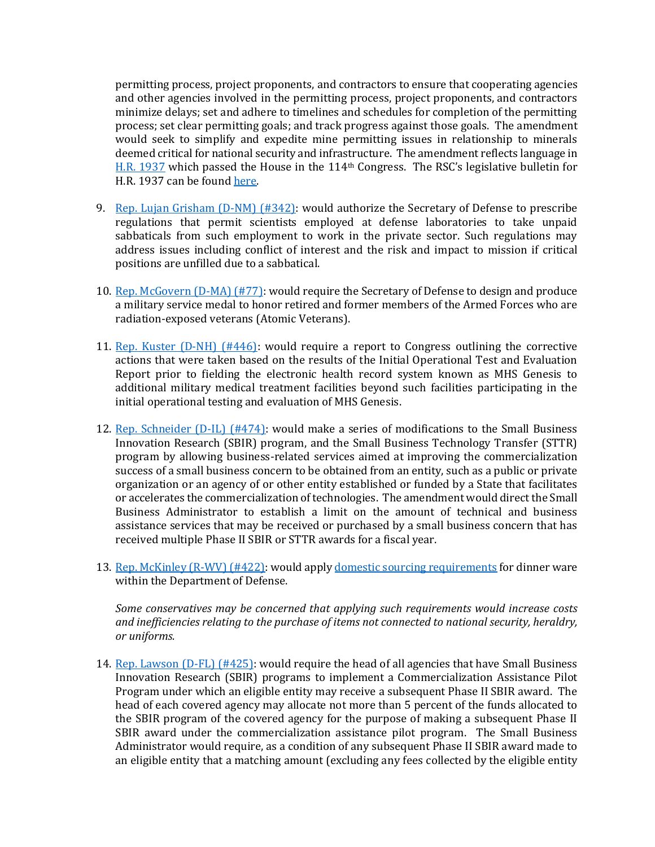permitting process, project proponents, and contractors to ensure that cooperating agencies and other agencies involved in the permitting process, project proponents, and contractors minimize delays; set and adhere to timelines and schedules for completion of the permitting process; set clear permitting goals; and track progress against those goals. The amendment would seek to simplify and expedite mine permitting issues in relationship to minerals deemed critical for national security and infrastructure. The amendment reflects language in [H.R. 1937](https://www.congress.gov/114/bills/hr1937/BILLS-114hr1937rfs.pdf) which passed the House in the 114th Congress. The RSC's legislative bulletin for H.R. 1937 can be foun[d here.](https://rsc-walker.house.gov/sites/republicanstudycommittee.house.gov/files/2015LB/Legislative%20Bulletin%20--%20H.R.%201937%20--%20October%2022%2C%202015.pdf)

- 9. Rep. Lujan Grisham  $(D-NM)$  (#342): would authorize the Secretary of Defense to prescribe regulations that permit scientists employed at defense laboratories to take unpaid sabbaticals from such employment to work in the private sector. Such regulations may address issues including conflict of interest and the risk and impact to mission if critical positions are unfilled due to a sabbatical.
- 10. [Rep. McGovern \(D-MA\) \(#77\):](https://amendments-rules.house.gov/amendments/MCGOVE_021_xml516181155315531.pdf) would require the Secretary of Defense to design and produce a military service medal to honor retired and former members of the Armed Forces who are radiation-exposed veterans (Atomic Veterans).
- 11. [Rep. Kuster \(D-NH\) \(#446\):](https://amendments-rules.house.gov/amendments/KUSTER_070_xml518181613111311.pdf) would require a report to Congress outlining the corrective actions that were taken based on the results of the Initial Operational Test and Evaluation Report prior to fielding the electronic health record system known as MHS Genesis to additional military medical treatment facilities beyond such facilities participating in the initial operational testing and evaluation of MHS Genesis.
- 12. [Rep. Schneider \(D-IL\) \(#474\):](https://amendments-rules.house.gov/amendments/SCHNEI_070_xml517180944584458.pdf) would make a series of modifications to the Small Business Innovation Research (SBIR) program, and the Small Business Technology Transfer (STTR) program by allowing business-related services aimed at improving the commercialization success of a small business concern to be obtained from an entity, such as a public or private organization or an agency of or other entity established or funded by a State that facilitates or accelerates the commercialization of technologies. The amendment would direct the Small Business Administrator to establish a limit on the amount of technical and business assistance services that may be received or purchased by a small business concern that has received multiple Phase II SBIR or STTR awards for a fiscal year.
- 13. [Rep. McKinley \(R-WV\) \(#422\):](https://amendments-rules.house.gov/amendments/MCKINL_074_xml517180928282828.pdf) would appl[y domestic sourcing requirements](https://www.law.cornell.edu/uscode/text/10/2533a) for dinner ware within the Department of Defense.

*Some conservatives may be concerned that applying such requirements would increase costs and inefficiencies relating to the purchase of items not connected to national security, heraldry, or uniforms.* 

14. [Rep. Lawson \(D-FL\) \(#425\):](https://amendments-rules.house.gov/amendments/LAWSFL_039_xml516181728322832.pdf) would require the head of all agencies that have Small Business Innovation Research (SBIR) programs to implement a Commercialization Assistance Pilot Program under which an eligible entity may receive a subsequent Phase II SBIR award. The head of each covered agency may allocate not more than 5 percent of the funds allocated to the SBIR program of the covered agency for the purpose of making a subsequent Phase II SBIR award under the commercialization assistance pilot program. The Small Business Administrator would require, as a condition of any subsequent Phase II SBIR award made to an eligible entity that a matching amount (excluding any fees collected by the eligible entity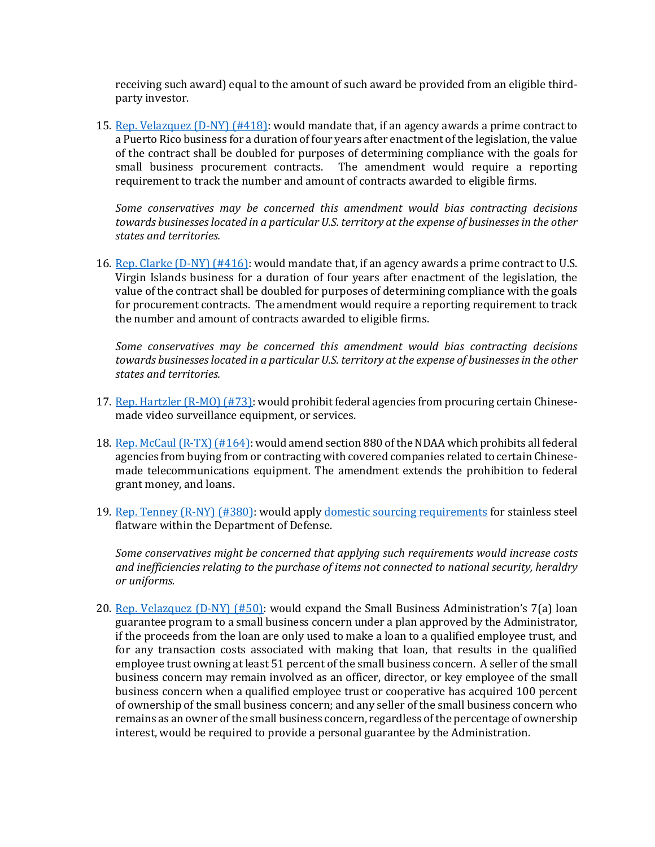receiving such award) equal to the amount of such award be provided from an eligible thirdparty investor.

15. [Rep. Velazquez \(D-NY\) \(#418\):](https://amendments-rules.house.gov/amendments/VELAZQ_167_xml%20(002)516181810251025.pdf) would mandate that, if an agency awards a prime contract to a Puerto Rico business for a duration of four years after enactment of the legislation, the value of the contract shall be doubled for purposes of determining compliance with the goals for small business procurement contracts. The amendment would require a reporting requirement to track the number and amount of contracts awarded to eligible firms.

*Some conservatives may be concerned this amendment would bias contracting decisions towards businesses located in a particular U.S. territory at the expense of businesses in the other states and territories.* 

16. [Rep. Clarke \(D-NY\) \(#416\):](https://amendments-rules.house.gov/amendments/CLARKE_047_xml%20(003)517180842294229.pdf) would mandate that, if an agency awards a prime contract to U.S. Virgin Islands business for a duration of four years after enactment of the legislation, the value of the contract shall be doubled for purposes of determining compliance with the goals for procurement contracts. The amendment would require a reporting requirement to track the number and amount of contracts awarded to eligible firms.

*Some conservatives may be concerned this amendment would bias contracting decisions towards businesses located in a particular U.S. territory at the expense of businesses in the other states and territories.* 

- 17. [Rep. Hartzler \(R-MO\) \(#73\):](https://amendments-rules.house.gov/amendments/HARTZL_069_xml516181533343334.pdf) would prohibit federal agencies from procuring certain Chinesemade video surveillance equipment, or services.
- 18. [Rep. McCaul \(R-TX\) \(#164\):](https://amendments-rules.house.gov/amendments/ndaa_telecom_2_xml521181225482548.pdf) would amend section 880 of the NDAA which prohibits all federal agencies from buying from or contracting with covered companies related to certain Chinesemade telecommunications equipment. The amendment extends the prohibition to federal grant money, and loans.
- 19. [Rep. Tenney \(R-NY\) \(#380\):](https://amendments-rules.house.gov/amendments/TENNEY_085_xml517180924512451.pdf) would apply [domestic sourcing requirements](https://www.law.cornell.edu/uscode/text/10/2533a) for stainless steel flatware within the Department of Defense.

*Some conservatives might be concerned that applying such requirements would increase costs and inefficiencies relating to the purchase of items not connected to national security, heraldry or uniforms.* 

20. [Rep. Velazquez \(D-NY\) \(#50\):](https://amendments-rules.house.gov/amendments/VELAZQ_165_xml516181212331233.pdf) would expand the Small Business Administration's 7(a) loan guarantee program to a small business concern under a plan approved by the Administrator, if the proceeds from the loan are only used to make a loan to a qualified employee trust, and for any transaction costs associated with making that loan, that results in the qualified employee trust owning at least 51 percent of the small business concern. A seller of the small business concern may remain involved as an officer, director, or key employee of the small business concern when a qualified employee trust or cooperative has acquired 100 percent of ownership of the small business concern; and any seller of the small business concern who remains as an owner of the small business concern, regardless of the percentage of ownership interest, would be required to provide a personal guarantee by the Administration.